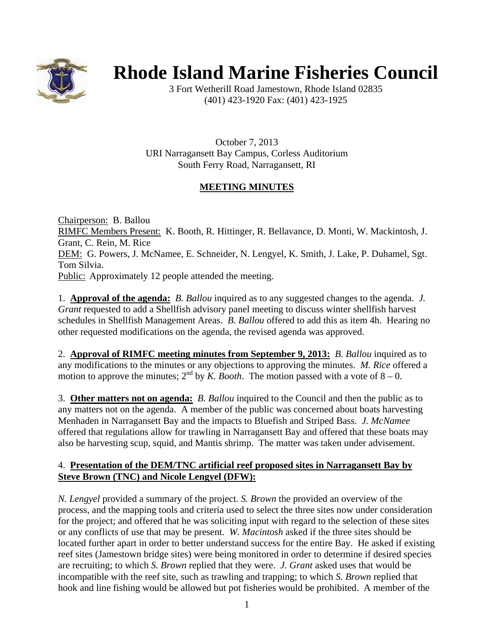

# **Rhode Island Marine Fisheries Council**

3 Fort Wetherill Road Jamestown, Rhode Island 02835 (401) 423-1920 Fax: (401) 423-1925

October 7, 2013 URI Narragansett Bay Campus, Corless Auditorium South Ferry Road, Narragansett, RI

# **MEETING MINUTES**

Chairperson: B. Ballou RIMFC Members Present: K. Booth, R. Hittinger, R. Bellavance, D. Monti, W. Mackintosh, J. Grant, C. Rein, M. Rice DEM: G. Powers, J. McNamee, E. Schneider, N. Lengyel, K. Smith, J. Lake, P. Duhamel, Sgt. Tom Silvia. Public: Approximately 12 people attended the meeting.

1. **Approval of the agenda:** *B. Ballou* inquired as to any suggested changes to the agenda. *J. Grant* requested to add a Shellfish advisory panel meeting to discuss winter shellfish harvest schedules in Shellfish Management Areas. *B. Ballou* offered to add this as item 4h. Hearing no other requested modifications on the agenda, the revised agenda was approved.

2. **Approval of RIMFC meeting minutes from September 9, 2013:** *B. Ballou* inquired as to any modifications to the minutes or any objections to approving the minutes. *M. Rice* offered a motion to approve the minutes;  $2^{nd}$  by *K. Booth*. The motion passed with a vote of  $8 - 0$ .

3. **Other matters not on agenda:** *B. Ballou* inquired to the Council and then the public as to any matters not on the agenda. A member of the public was concerned about boats harvesting Menhaden in Narragansett Bay and the impacts to Bluefish and Striped Bass. *J. McNamee* offered that regulations allow for trawling in Narragansett Bay and offered that these boats may also be harvesting scup, squid, and Mantis shrimp. The matter was taken under advisement.

## 4. **Presentation of the DEM/TNC artificial reef proposed sites in Narragansett Bay by Steve Brown (TNC) and Nicole Lengyel (DFW):**

*N. Lengyel* provided a summary of the project*. S. Brown* the provided an overview of the process, and the mapping tools and criteria used to select the three sites now under consideration for the project; and offered that he was soliciting input with regard to the selection of these sites or any conflicts of use that may be present. *W. Macintosh* asked if the three sites should be located further apart in order to better understand success for the entire Bay. He asked if existing reef sites (Jamestown bridge sites) were being monitored in order to determine if desired species are recruiting; to which *S. Brown* replied that they were. *J. Grant* asked uses that would be incompatible with the reef site, such as trawling and trapping; to which *S. Brown* replied that hook and line fishing would be allowed but pot fisheries would be prohibited. A member of the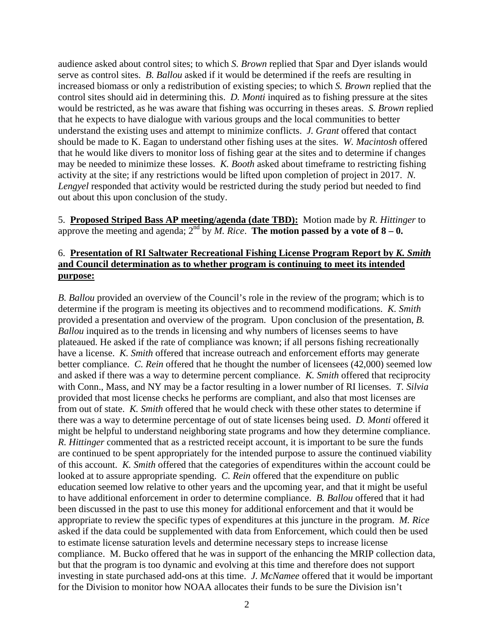audience asked about control sites; to which *S. Brown* replied that Spar and Dyer islands would serve as control sites. *B. Ballou* asked if it would be determined if the reefs are resulting in increased biomass or only a redistribution of existing species; to which *S. Brown* replied that the control sites should aid in determining this. *D. Monti* inquired as to fishing pressure at the sites would be restricted, as he was aware that fishing was occurring in theses areas. *S. Brown* replied that he expects to have dialogue with various groups and the local communities to better understand the existing uses and attempt to minimize conflicts. *J. Grant* offered that contact should be made to K. Eagan to understand other fishing uses at the sites. *W. Macintosh* offered that he would like divers to monitor loss of fishing gear at the sites and to determine if changes may be needed to minimize these losses. *K. Booth* asked about timeframe to restricting fishing activity at the site; if any restrictions would be lifted upon completion of project in 2017. *N. Lengyel* responded that activity would be restricted during the study period but needed to find out about this upon conclusion of the study.

5. **Proposed Striped Bass AP meeting/agenda (date TBD):** Motion made by *R. Hittinger* to approve the meeting and agenda;  $2^{nd}$  by *M. Rice*. **The motion passed by a vote of**  $8 - 0$ **.** 

#### 6. **Presentation of RI Saltwater Recreational Fishing License Program Report by** *K. Smith* **and Council determination as to whether program is continuing to meet its intended purpose:**

*B. Ballou* provided an overview of the Council's role in the review of the program; which is to determine if the program is meeting its objectives and to recommend modifications. *K. Smith* provided a presentation and overview of the program. Upon conclusion of the presentation, *B. Ballou* inquired as to the trends in licensing and why numbers of licenses seems to have plateaued. He asked if the rate of compliance was known; if all persons fishing recreationally have a license. *K. Smith* offered that increase outreach and enforcement efforts may generate better compliance. *C. Rein* offered that he thought the number of licensees (42,000) seemed low and asked if there was a way to determine percent compliance. *K. Smith* offered that reciprocity with Conn., Mass, and NY may be a factor resulting in a lower number of RI licenses. *T. Silvia* provided that most license checks he performs are compliant, and also that most licenses are from out of state. *K. Smith* offered that he would check with these other states to determine if there was a way to determine percentage of out of state licenses being used. *D. Monti* offered it might be helpful to understand neighboring state programs and how they determine compliance. *R. Hittinger* commented that as a restricted receipt account, it is important to be sure the funds are continued to be spent appropriately for the intended purpose to assure the continued viability of this account. *K. Smith* offered that the categories of expenditures within the account could be looked at to assure appropriate spending. *C. Rein* offered that the expenditure on public education seemed low relative to other years and the upcoming year, and that it might be useful to have additional enforcement in order to determine compliance. *B. Ballou* offered that it had been discussed in the past to use this money for additional enforcement and that it would be appropriate to review the specific types of expenditures at this juncture in the program. *M. Rice* asked if the data could be supplemented with data from Enforcement, which could then be used to estimate license saturation levels and determine necessary steps to increase license compliance. M. Bucko offered that he was in support of the enhancing the MRIP collection data, but that the program is too dynamic and evolving at this time and therefore does not support investing in state purchased add-ons at this time. *J. McNamee* offered that it would be important for the Division to monitor how NOAA allocates their funds to be sure the Division isn't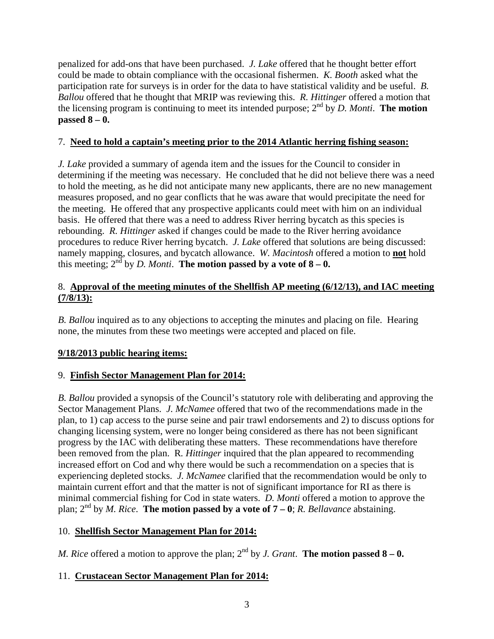penalized for add-ons that have been purchased. *J. Lake* offered that he thought better effort could be made to obtain compliance with the occasional fishermen. *K. Booth* asked what the participation rate for surveys is in order for the data to have statistical validity and be useful. *B. Ballou* offered that he thought that MRIP was reviewing this. *R. Hittinger* offered a motion that the licensing program is continuing to meet its intended purpose;  $2^{nd}$  by *D. Monti*. **The motion passed 8 – 0.** 

## 7. **Need to hold a captain's meeting prior to the 2014 Atlantic herring fishing season:**

*J. Lake* provided a summary of agenda item and the issues for the Council to consider in determining if the meeting was necessary. He concluded that he did not believe there was a need to hold the meeting, as he did not anticipate many new applicants, there are no new management measures proposed, and no gear conflicts that he was aware that would precipitate the need for the meeting. He offered that any prospective applicants could meet with him on an individual basis. He offered that there was a need to address River herring bycatch as this species is rebounding. *R. Hittinger* asked if changes could be made to the River herring avoidance procedures to reduce River herring bycatch. *J. Lake* offered that solutions are being discussed: namely mapping, closures, and bycatch allowance. *W. Macintosh* offered a motion to **not** hold this meeting;  $2^{nd}$  by *D. Monti*. **The motion passed by a vote of**  $8 - 0$ **.** 

## 8. **Approval of the meeting minutes of the Shellfish AP meeting (6/12/13), and IAC meeting (7/8/13):**

*B. Ballou* inquired as to any objections to accepting the minutes and placing on file. Hearing none, the minutes from these two meetings were accepted and placed on file.

# **9/18/2013 public hearing items:**

# 9. **Finfish Sector Management Plan for 2014:**

*B. Ballou* provided a synopsis of the Council's statutory role with deliberating and approving the Sector Management Plans. *J. McNamee* offered that two of the recommendations made in the plan, to 1) cap access to the purse seine and pair trawl endorsements and 2) to discuss options for changing licensing system, were no longer being considered as there has not been significant progress by the IAC with deliberating these matters. These recommendations have therefore been removed from the plan. R*. Hittinger* inquired that the plan appeared to recommending increased effort on Cod and why there would be such a recommendation on a species that is experiencing depleted stocks. *J. McNamee* clarified that the recommendation would be only to maintain current effort and that the matter is not of significant importance for RI as there is minimal commercial fishing for Cod in state waters. *D. Monti* offered a motion to approve the plan;  $2^{nd}$  by *M. Rice*. **The motion passed by a vote of**  $7 - 0$ ; *R. Bellavance* abstaining.

#### 10. **Shellfish Sector Management Plan for 2014:**

*M. Rice* offered a motion to approve the plan;  $2^{nd}$  by *J. Grant*. **The motion passed 8 – 0.** 

#### 11. **Crustacean Sector Management Plan for 2014:**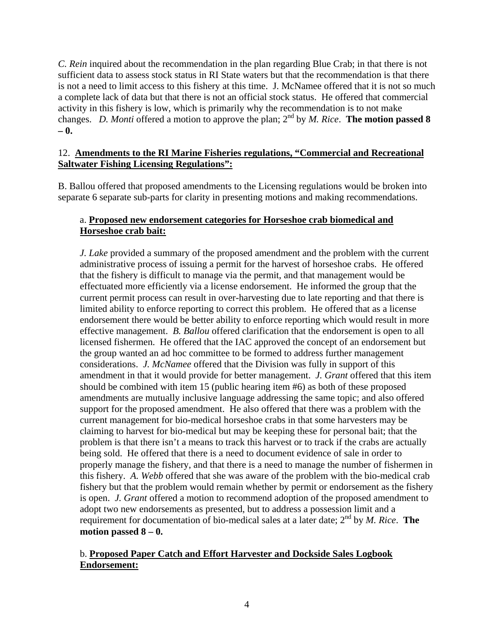*C. Rein* inquired about the recommendation in the plan regarding Blue Crab; in that there is not sufficient data to assess stock status in RI State waters but that the recommendation is that there is not a need to limit access to this fishery at this time. J. McNamee offered that it is not so much a complete lack of data but that there is not an official stock status. He offered that commercial activity in this fishery is low, which is primarily why the recommendation is to not make changes. *D. Monti* offered a motion to approve the plan; 2nd by *M. Rice*. **The motion passed 8 – 0.** 

#### 12. **Amendments to the RI Marine Fisheries regulations, "Commercial and Recreational Saltwater Fishing Licensing Regulations":**

B. Ballou offered that proposed amendments to the Licensing regulations would be broken into separate 6 separate sub-parts for clarity in presenting motions and making recommendations.

# a. **Proposed new endorsement categories for Horseshoe crab biomedical and Horseshoe crab bait:**

*J. Lake* provided a summary of the proposed amendment and the problem with the current administrative process of issuing a permit for the harvest of horseshoe crabs. He offered that the fishery is difficult to manage via the permit, and that management would be effectuated more efficiently via a license endorsement. He informed the group that the current permit process can result in over-harvesting due to late reporting and that there is limited ability to enforce reporting to correct this problem. He offered that as a license endorsement there would be better ability to enforce reporting which would result in more effective management. *B. Ballou* offered clarification that the endorsement is open to all licensed fishermen. He offered that the IAC approved the concept of an endorsement but the group wanted an ad hoc committee to be formed to address further management considerations. *J. McNamee* offered that the Division was fully in support of this amendment in that it would provide for better management. *J. Grant* offered that this item should be combined with item 15 (public hearing item #6) as both of these proposed amendments are mutually inclusive language addressing the same topic; and also offered support for the proposed amendment. He also offered that there was a problem with the current management for bio-medical horseshoe crabs in that some harvesters may be claiming to harvest for bio-medical but may be keeping these for personal bait; that the problem is that there isn't a means to track this harvest or to track if the crabs are actually being sold. He offered that there is a need to document evidence of sale in order to properly manage the fishery, and that there is a need to manage the number of fishermen in this fishery. *A. Webb* offered that she was aware of the problem with the bio-medical crab fishery but that the problem would remain whether by permit or endorsement as the fishery is open. *J. Grant* offered a motion to recommend adoption of the proposed amendment to adopt two new endorsements as presented, but to address a possession limit and a requirement for documentation of bio-medical sales at a later date;  $2<sup>nd</sup>$  by *M. Rice*. **The motion passed 8 – 0.** 

## b. **Proposed Paper Catch and Effort Harvester and Dockside Sales Logbook Endorsement:**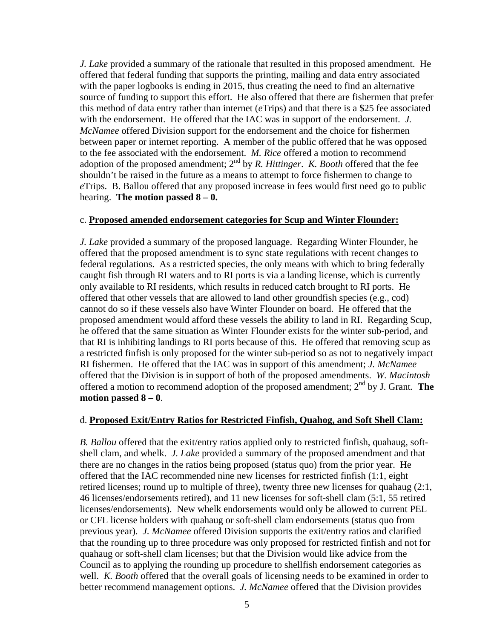*J. Lake* provided a summary of the rationale that resulted in this proposed amendment. He offered that federal funding that supports the printing, mailing and data entry associated with the paper logbooks is ending in 2015, thus creating the need to find an alternative source of funding to support this effort. He also offered that there are fishermen that prefer this method of data entry rather than internet (*e*Trips) and that there is a \$25 fee associated with the endorsement. He offered that the IAC was in support of the endorsement. *J. McNamee* offered Division support for the endorsement and the choice for fishermen between paper or internet reporting. A member of the public offered that he was opposed to the fee associated with the endorsement. *M. Rice* offered a motion to recommend adoption of the proposed amendment;  $2<sup>nd</sup>$  by *R. Hittinger. K. Booth* offered that the fee shouldn't be raised in the future as a means to attempt to force fishermen to change to *e*Trips. B. Ballou offered that any proposed increase in fees would first need go to public hearing. **The motion passed 8 – 0.**

#### c. **Proposed amended endorsement categories for Scup and Winter Flounder:**

*J. Lake* provided a summary of the proposed language. Regarding Winter Flounder, he offered that the proposed amendment is to sync state regulations with recent changes to federal regulations. As a restricted species, the only means with which to bring federally caught fish through RI waters and to RI ports is via a landing license, which is currently only available to RI residents, which results in reduced catch brought to RI ports. He offered that other vessels that are allowed to land other groundfish species (e.g., cod) cannot do so if these vessels also have Winter Flounder on board. He offered that the proposed amendment would afford these vessels the ability to land in RI. Regarding Scup, he offered that the same situation as Winter Flounder exists for the winter sub-period, and that RI is inhibiting landings to RI ports because of this. He offered that removing scup as a restricted finfish is only proposed for the winter sub-period so as not to negatively impact RI fishermen. He offered that the IAC was in support of this amendment; *J. McNamee* offered that the Division is in support of both of the proposed amendments. *W. Macintosh* offered a motion to recommend adoption of the proposed amendment; 2nd by J. Grant. **The motion passed 8 – 0**.

#### d. **Proposed Exit/Entry Ratios for Restricted Finfish, Quahog, and Soft Shell Clam:**

*B. Ballou* offered that the exit/entry ratios applied only to restricted finfish, quahaug, softshell clam, and whelk. *J. Lake* provided a summary of the proposed amendment and that there are no changes in the ratios being proposed (status quo) from the prior year. He offered that the IAC recommended nine new licenses for restricted finfish (1:1, eight retired licenses; round up to multiple of three), twenty three new licenses for quahaug (2:1, 46 licenses/endorsements retired), and 11 new licenses for soft-shell clam (5:1, 55 retired licenses/endorsements). New whelk endorsements would only be allowed to current PEL or CFL license holders with quahaug or soft-shell clam endorsements (status quo from previous year). *J. McNamee* offered Division supports the exit/entry ratios and clarified that the rounding up to three procedure was only proposed for restricted finfish and not for quahaug or soft-shell clam licenses; but that the Division would like advice from the Council as to applying the rounding up procedure to shellfish endorsement categories as well. *K. Booth* offered that the overall goals of licensing needs to be examined in order to better recommend management options. *J. McNamee* offered that the Division provides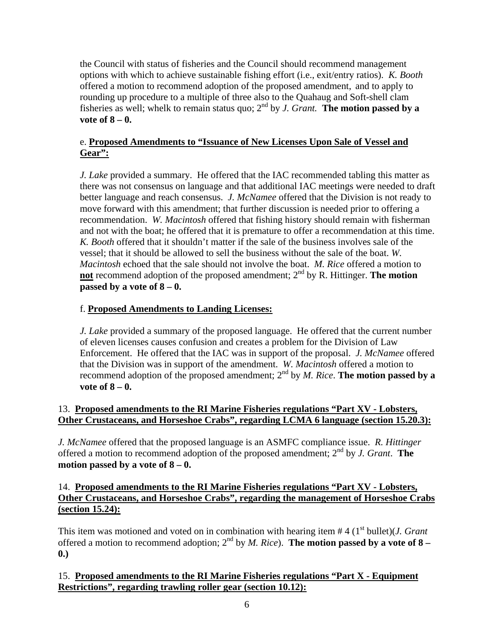the Council with status of fisheries and the Council should recommend management options with which to achieve sustainable fishing effort (i.e., exit/entry ratios). *K. Booth*  offered a motion to recommend adoption of the proposed amendment, and to apply to rounding up procedure to a multiple of three also to the Quahaug and Soft-shell clam fisheries as well; whelk to remain status quo;  $2^{nd}$  by *J. Grant.* The motion passed by a **vote of 8 – 0.** 

# e. **Proposed Amendments to "Issuance of New Licenses Upon Sale of Vessel and Gear":**

*J. Lake provided a summary.* He offered that the IAC recommended tabling this matter as there was not consensus on language and that additional IAC meetings were needed to draft better language and reach consensus. *J. McNamee* offered that the Division is not ready to move forward with this amendment; that further discussion is needed prior to offering a recommendation. *W. Macintosh* offered that fishing history should remain with fisherman and not with the boat; he offered that it is premature to offer a recommendation at this time. *K. Booth* offered that it shouldn't matter if the sale of the business involves sale of the vessel; that it should be allowed to sell the business without the sale of the boat. *W. Macintosh* echoed that the sale should not involve the boat. *M. Rice* offered a motion to **not** recommend adoption of the proposed amendment;  $2<sup>nd</sup>$  by R. Hittinger. **The motion passed by a vote of 8 – 0.**

# f. **Proposed Amendments to Landing Licenses:**

*J. Lake* provided a summary of the proposed language. He offered that the current number of eleven licenses causes confusion and creates a problem for the Division of Law Enforcement. He offered that the IAC was in support of the proposal. *J. McNamee* offered that the Division was in support of the amendment. *W. Macintosh* offered a motion to recommend adoption of the proposed amendment;  $2^{nd}$  by *M. Rice*. **The motion passed by a vote of 8 – 0.** 

# 13. **Proposed amendments to the RI Marine Fisheries regulations "Part XV - Lobsters, Other Crustaceans, and Horseshoe Crabs", regarding LCMA 6 language (section 15.20.3):**

*J. McNamee* offered that the proposed language is an ASMFC compliance issue. *R. Hittinger* offered a motion to recommend adoption of the proposed amendment; 2nd by *J. Grant*. **The motion passed by a vote of 8 – 0.** 

## 14. **Proposed amendments to the RI Marine Fisheries regulations "Part XV - Lobsters, Other Crustaceans, and Horseshoe Crabs", regarding the management of Horseshoe Crabs (section 15.24):**

This item was motioned and voted on in combination with hearing item #4 (1<sup>st</sup> bullet)(*J. Grant* offered a motion to recommend adoption;  $2<sup>nd</sup>$  by *M. Rice*). **The motion passed by a vote of 8** – **0.)** 

# 15. **Proposed amendments to the RI Marine Fisheries regulations "Part X - Equipment Restrictions", regarding trawling roller gear (section 10.12):**